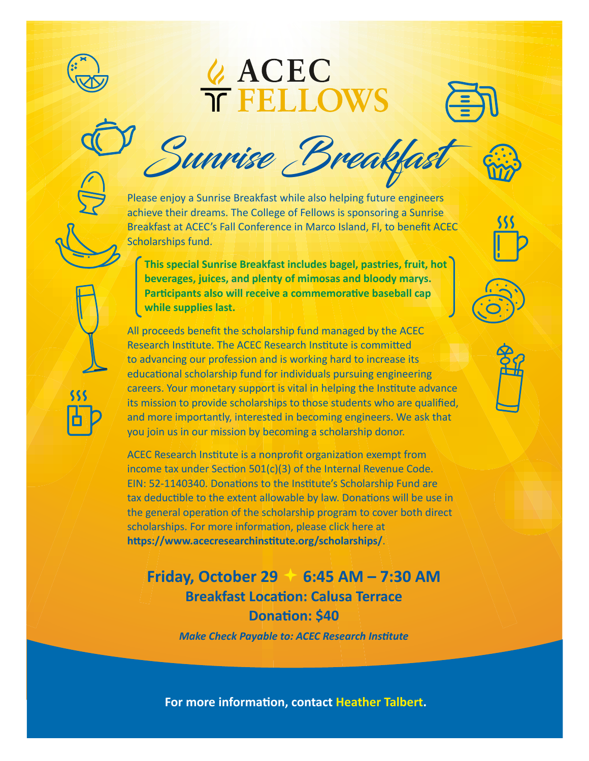

## **& ACEC<br>TELLOWS**





Please enjoy a Sunrise Breakfast while also helping future engineers achieve their dreams. The College of Fellows is sponsoring a Sunrise Breakfast at ACEC's Fall Conference in Marco Island, Fl, to benefit ACEC Scholarships fund.

**This special Sunrise Breakfast includes bagel, pastries, fruit, hot beverages, juices, and plenty of mimosas and bloody marys. Participants also will receive a commemorative baseball cap while supplies last.**

All proceeds benefit the scholarship fund managed by the ACEC Research Institute. The ACEC Research Institute is committed to advancing our profession and is working hard to increase its educational scholarship fund for individuals pursuing engineering careers. Your monetary support is vital in helping the Institute advance its mission to provide scholarships to those students who are qualified, and more importantly, interested in becoming engineers. We ask that you join us in our mission by becoming a scholarship donor.

ACEC Research Institute is a nonprofit organization exempt from income tax under Section 501(c)(3) of the Internal Revenue Code. EIN: 52-1140340. Donations to the Institute's Scholarship Fund are tax deductible to the extent allowable by law. Donations will be use in the general operation of the scholarship program to cover both direct scholarships. For more information, please click here at **<https://www.acecresearchinstitute.org/scholarships/>**.

## **Friday, October 29 6:45 AM – 7:30 AM Breakfast Location: Calusa Terrace Donation: \$40**

*Make Check Payable to: ACEC Research Institute*

**For more information, contact [Heather Talbert](mailto:htalbert%40acec.org?subject=).**